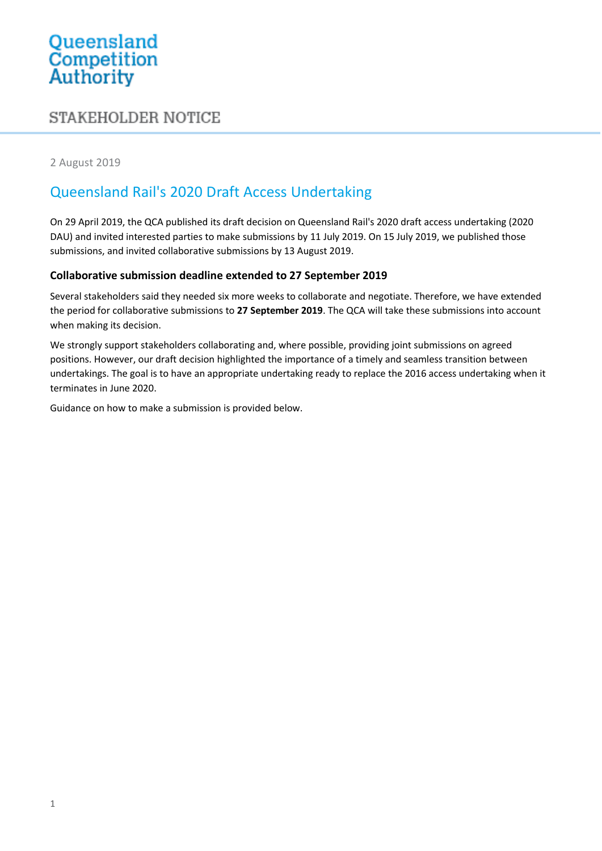# Queensland<br>Competition Authority

# STAKEHOLDER NOTICE

2 August 2019

# Queensland Rail's 2020 Draft Access Undertaking

On 29 April 2019, the QCA published its draft decision on Queensland Rail's 2020 draft access undertaking (2020 DAU) and invited interested parties to make submissions by 11 July 2019. On 15 July 2019, we published those submissions, and invited collaborative submissions by 13 August 2019.

## **Collaborative submission deadline extended to 27 September 2019**

Several stakeholders said they needed six more weeks to collaborate and negotiate. Therefore, we have extended the period for collaborative submissions to **27 September 2019**. The QCA will take these submissions into account when making its decision.

We strongly support stakeholders collaborating and, where possible, providing joint submissions on agreed positions. However, our draft decision highlighted the importance of a timely and seamless transition between undertakings. The goal is to have an appropriate undertaking ready to replace the 2016 access undertaking when it terminates in June 2020.

Guidance on how to make a submission is provided below.